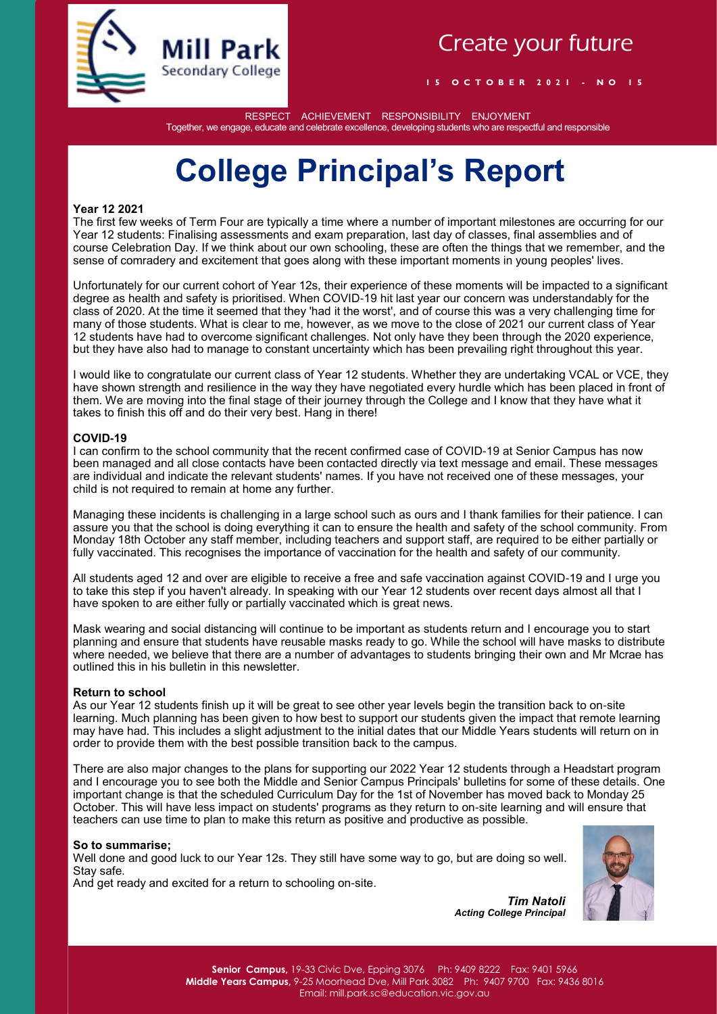

### Create your future

**1 5 O C T O B E R 2 0 2 1 - N O 1 5**

RESPECT ACHIEVEMENT RESPONSIBILITY ENJOYMENT Together, we engage, educate and celebrate excellence, developing students who are respectful and responsible

# **College Principal's Report**

#### **Year 12 2021**

The first few weeks of Term Four are typically a time where a number of important milestones are occurring for our Year 12 students: Finalising assessments and exam preparation, last day of classes, final assemblies and of course Celebration Day. If we think about our own schooling, these are often the things that we remember, and the sense of comradery and excitement that goes along with these important moments in young peoples' lives.

Unfortunately for our current cohort of Year 12s, their experience of these moments will be impacted to a significant degree as health and safety is prioritised. When COVID-19 hit last year our concern was understandably for the class of 2020. At the time it seemed that they 'had it the worst', and of course this was a very challenging time for many of those students. What is clear to me, however, as we move to the close of 2021 our current class of Year 12 students have had to overcome significant challenges. Not only have they been through the 2020 experience, but they have also had to manage to constant uncertainty which has been prevailing right throughout this year.

I would like to congratulate our current class of Year 12 students. Whether they are undertaking VCAL or VCE, they have shown strength and resilience in the way they have negotiated every hurdle which has been placed in front of them. We are moving into the final stage of their journey through the College and I know that they have what it takes to finish this off and do their very best. Hang in there!

#### **COVID-19**

I can confirm to the school community that the recent confirmed case of COVID-19 at Senior Campus has now been managed and all close contacts have been contacted directly via text message and email. These messages are individual and indicate the relevant students' names. If you have not received one of these messages, your child is not required to remain at home any further.

Managing these incidents is challenging in a large school such as ours and I thank families for their patience. I can assure you that the school is doing everything it can to ensure the health and safety of the school community. From Monday 18th October any staff member, including teachers and support staff, are required to be either partially or fully vaccinated. This recognises the importance of vaccination for the health and safety of our community.

All students aged 12 and over are eligible to receive a free and safe vaccination against COVID-19 and I urge you to take this step if you haven't already. In speaking with our Year 12 students over recent days almost all that I have spoken to are either fully or partially vaccinated which is great news.

Mask wearing and social distancing will continue to be important as students return and I encourage you to start planning and ensure that students have reusable masks ready to go. While the school will have masks to distribute where needed, we believe that there are a number of advantages to students bringing their own and Mr Mcrae has outlined this in his bulletin in this newsletter.

#### **Return to school**

As our Year 12 students finish up it will be great to see other year levels begin the transition back to on-site learning. Much planning has been given to how best to support our students given the impact that remote learning may have had. This includes a slight adjustment to the initial dates that our Middle Years students will return on in order to provide them with the best possible transition back to the campus.

There are also major changes to the plans for supporting our 2022 Year 12 students through a Headstart program and I encourage you to see both the Middle and Senior Campus Principals' bulletins for some of these details. One important change is that the scheduled Curriculum Day for the 1st of November has moved back to Monday 25 October. This will have less impact on students' programs as they return to on-site learning and will ensure that teachers can use time to plan to make this return as positive and productive as possible.

#### **So to summarise;**

Well done and good luck to our Year 12s. They still have some way to go, but are doing so well. Stay safe.

And get ready and excited for a return to schooling on-site.



*Tim Natoli Acting College Principal*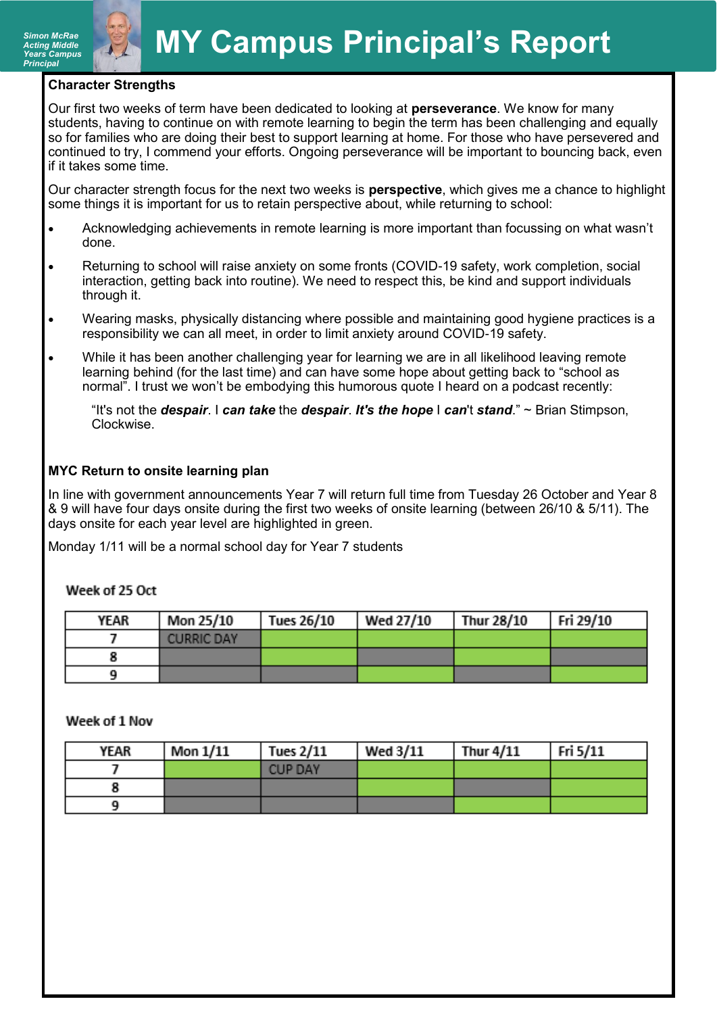#### **Character Strengths**

Our first two weeks of term have been dedicated to looking at **perseverance**. We know for many students, having to continue on with remote learning to begin the term has been challenging and equally so for families who are doing their best to support learning at home. For those who have persevered and continued to try, I commend your efforts. Ongoing perseverance will be important to bouncing back, even if it takes some time.

Our character strength focus for the next two weeks is **perspective**, which gives me a chance to highlight some things it is important for us to retain perspective about, while returning to school:

- Acknowledging achievements in remote learning is more important than focussing on what wasn't done.
- Returning to school will raise anxiety on some fronts (COVID-19 safety, work completion, social interaction, getting back into routine). We need to respect this, be kind and support individuals through it.
- Wearing masks, physically distancing where possible and maintaining good hygiene practices is a responsibility we can all meet, in order to limit anxiety around COVID-19 safety.
- While it has been another challenging year for learning we are in all likelihood leaving remote learning behind (for the last time) and can have some hope about getting back to "school as normal". I trust we won't be embodying this humorous quote I heard on a podcast recently:

"It's not the *despair*. I *can take* the *despair*. *It's the hope* I *can*'t *stand*." ~ Brian Stimpson, Clockwise.

#### **MYC Return to onsite learning plan**

In line with government announcements Year 7 will return full time from Tuesday 26 October and Year 8 & 9 will have four days onsite during the first two weeks of onsite learning (between 26/10 & 5/11). The days onsite for each year level are highlighted in green.

Monday 1/11 will be a normal school day for Year 7 students

#### Week of 25 Oct

| YEAR | Mon 25/10         | Tues 26/10 | <b>Wed 27/10</b> | Thur 28/10 | Fri 29/10 |
|------|-------------------|------------|------------------|------------|-----------|
|      | <b>CURRIC DAY</b> |            |                  |            |           |
|      |                   |            |                  |            |           |
|      |                   |            |                  |            |           |

#### Week of 1 Nov

| YEAR | Mon $1/11$ | <b>Tues 2/11</b> | Wed 3/11 | <b>Thur 4/11</b> | Fri 5/11 |
|------|------------|------------------|----------|------------------|----------|
|      |            | <b>CUP DAY</b>   |          |                  |          |
|      |            |                  |          |                  |          |
|      |            |                  |          |                  |          |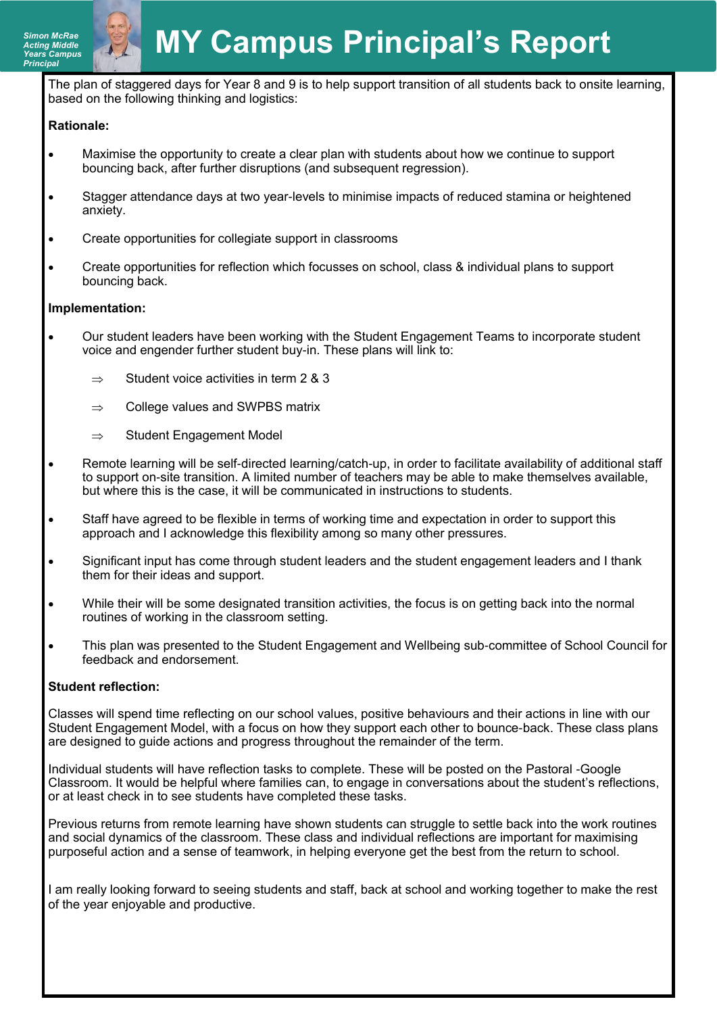The plan of staggered days for Year 8 and 9 is to help support transition of all students back to onsite learning, based on the following thinking and logistics:

#### **Rationale:**

- Maximise the opportunity to create a clear plan with students about how we continue to support bouncing back, after further disruptions (and subsequent regression).
- Stagger attendance days at two year-levels to minimise impacts of reduced stamina or heightened anxiety.
- Create opportunities for collegiate support in classrooms
- Create opportunities for reflection which focusses on school, class & individual plans to support bouncing back.

#### **Implementation:**

- Our student leaders have been working with the Student Engagement Teams to incorporate student voice and engender further student buy-in. These plans will link to:
	- $\Rightarrow$  Student voice activities in term 2 & 3
	- $\Rightarrow$  College values and SWPBS matrix
	- $\Rightarrow$  Student Engagement Model
- Remote learning will be self-directed learning/catch-up, in order to facilitate availability of additional staff to support on-site transition. A limited number of teachers may be able to make themselves available, but where this is the case, it will be communicated in instructions to students.
- Staff have agreed to be flexible in terms of working time and expectation in order to support this approach and I acknowledge this flexibility among so many other pressures.
- Significant input has come through student leaders and the student engagement leaders and I thank them for their ideas and support.
- While their will be some designated transition activities, the focus is on getting back into the normal routines of working in the classroom setting.
- This plan was presented to the Student Engagement and Wellbeing sub-committee of School Council for feedback and endorsement.

#### **Student reflection:**

Classes will spend time reflecting on our school values, positive behaviours and their actions in line with our Student Engagement Model, with a focus on how they support each other to bounce-back. These class plans are designed to guide actions and progress throughout the remainder of the term.

Individual students will have reflection tasks to complete. These will be posted on the Pastoral -Google Classroom. It would be helpful where families can, to engage in conversations about the student's reflections, or at least check in to see students have completed these tasks.

Previous returns from remote learning have shown students can struggle to settle back into the work routines and social dynamics of the classroom. These class and individual reflections are important for maximising purposeful action and a sense of teamwork, in helping everyone get the best from the return to school.

I am really looking forward to seeing students and staff, back at school and working together to make the rest of the year enjoyable and productive.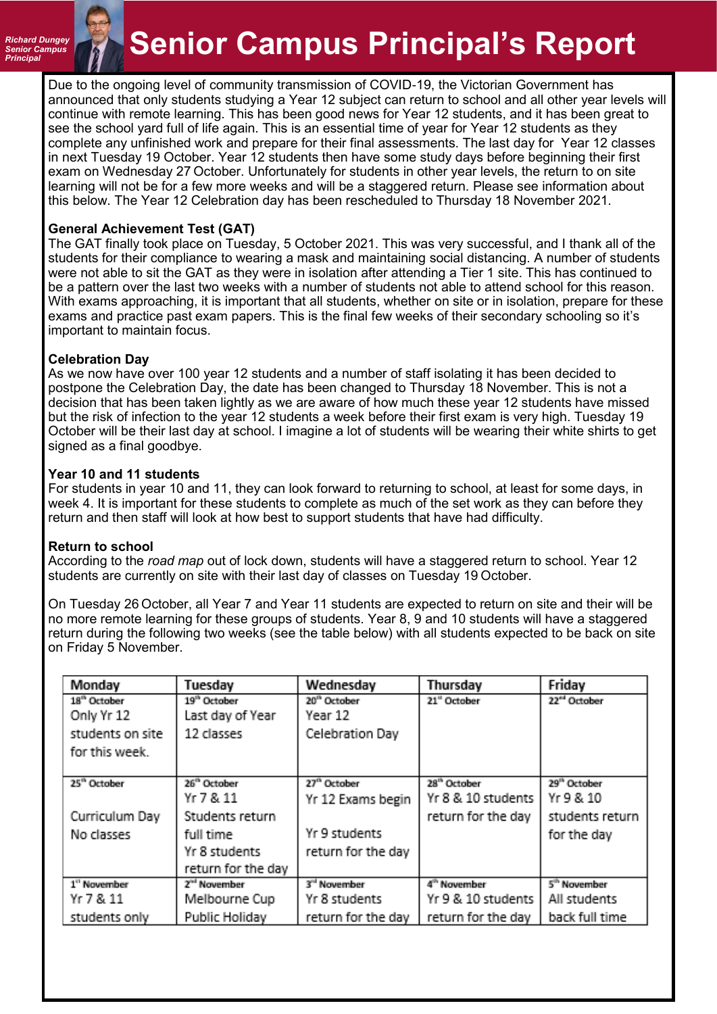#### *Richard Dungey Senior Campus*

# **Principal Principal Principal Principal's Report**

Due to the ongoing level of community transmission of COVID-19, the Victorian Government has announced that only students studying a Year 12 subject can return to school and all other year levels will continue with remote learning. This has been good news for Year 12 students, and it has been great to see the school yard full of life again. This is an essential time of year for Year 12 students as they complete any unfinished work and prepare for their final assessments. The last day for Year 12 classes in next Tuesday 19 October. Year 12 students then have some study days before beginning their first exam on Wednesday 27 October. Unfortunately for students in other year levels, the return to on site learning will not be for a few more weeks and will be a staggered return. Please see information about this below. The Year 12 Celebration day has been rescheduled to Thursday 18 November 2021.

#### **General Achievement Test (GAT)**

The GAT finally took place on Tuesday, 5 October 2021. This was very successful, and I thank all of the students for their compliance to wearing a mask and maintaining social distancing. A number of students were not able to sit the GAT as they were in isolation after attending a Tier 1 site. This has continued to be a pattern over the last two weeks with a number of students not able to attend school for this reason. With exams approaching, it is important that all students, whether on site or in isolation, prepare for these exams and practice past exam papers. This is the final few weeks of their secondary schooling so it's important to maintain focus.

#### **Celebration Day**

As we now have over 100 year 12 students and a number of staff isolating it has been decided to postpone the Celebration Day, the date has been changed to Thursday 18 November. This is not a decision that has been taken lightly as we are aware of how much these year 12 students have missed but the risk of infection to the year 12 students a week before their first exam is very high. Tuesday 19 October will be their last day at school. I imagine a lot of students will be wearing their white shirts to get signed as a final goodbye.

#### **Year 10 and 11 students**

For students in year 10 and 11, they can look forward to returning to school, at least for some days, in week 4. It is important for these students to complete as much of the set work as they can before they return and then staff will look at how best to support students that have had difficulty.

#### **Return to school**

According to the *road map* out of lock down, students will have a staggered return to school. Year 12 students are currently on site with their last day of classes on Tuesday 19 October.

On Tuesday 26 October, all Year 7 and Year 11 students are expected to return on site and their will be no more remote learning for these groups of students. Year 8, 9 and 10 students will have a staggered return during the following two weeks (see the table below) with all students expected to be back on site on Friday 5 November.

| Monday                   | Tuesday                  | Wednesday                | Thursday                 | Friday                   |
|--------------------------|--------------------------|--------------------------|--------------------------|--------------------------|
| 18 <sup>th</sup> October | 19 <sup>th</sup> October | 20 <sup>th</sup> October | 21" October              | 22 <sup>ed</sup> October |
| Only Yr 12               | Last day of Year         | Year 12                  |                          |                          |
| students on site         | 12 classes               | Celebration Day          |                          |                          |
| for this week.           |                          |                          |                          |                          |
|                          |                          |                          |                          |                          |
| 25 <sup>th</sup> October | 26 <sup>th</sup> October | 27 <sup>th</sup> October | 28 <sup>th</sup> October | 29 <sup>th</sup> October |
|                          | Yr 7 & 11                | Yr 12 Exams begin        | Yr 8 & 10 students       | Yr 9 & 10                |
| Curriculum Day           | Students return          |                          | return for the day       | students return          |
| No classes               | full time                | Yr 9 students            |                          | for the day              |
|                          | Yr 8 students            | return for the day       |                          |                          |
|                          | return for the day       |                          |                          |                          |
| 1" November              | 2 <sup>nd</sup> November | 3 <sup>rd</sup> November | 4 <sup>th</sup> November | 5 <sup>th</sup> November |
| Yr 7 & 11                | Melbourne Cup            | Yr 8 students            | Yr 9 & 10 students       | All students             |
| students only            | Public Holiday           | return for the day       | return for the day       | back full time           |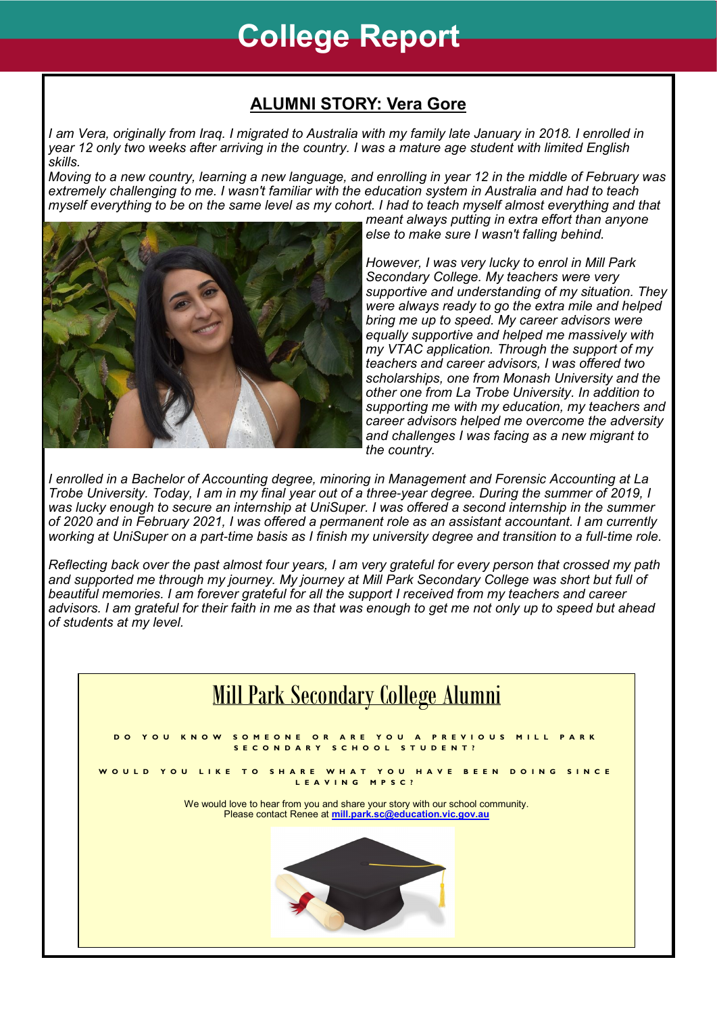# **College Report**

### **ALUMNI STORY: Vera Gore**

*I am Vera, originally from Iraq. I migrated to Australia with my family late January in 2018. I enrolled in year 12 only two weeks after arriving in the country. I was a mature age student with limited English skills.*

*Moving to a new country, learning a new language, and enrolling in year 12 in the middle of February was extremely challenging to me. I wasn't familiar with the education system in Australia and had to teach myself everything to be on the same level as my cohort. I had to teach myself almost everything and that* 



*meant always putting in extra effort than anyone else to make sure I wasn't falling behind.*

*However, I was very lucky to enrol in Mill Park Secondary College. My teachers were very supportive and understanding of my situation. They were always ready to go the extra mile and helped bring me up to speed. My career advisors were equally supportive and helped me massively with my VTAC application. Through the support of my teachers and career advisors, I was offered two scholarships, one from Monash University and the other one from La Trobe University. In addition to supporting me with my education, my teachers and career advisors helped me overcome the adversity and challenges I was facing as a new migrant to the country.*

*I enrolled in a Bachelor of Accounting degree, minoring in Management and Forensic Accounting at La Trobe University. Today, I am in my final year out of a three-year degree. During the summer of 2019, I was lucky enough to secure an internship at UniSuper. I was offered a second internship in the summer of 2020 and in February 2021, I was offered a permanent role as an assistant accountant. I am currently working at UniSuper on a part-time basis as I finish my university degree and transition to a full-time role.*

*Reflecting back over the past almost four years, I am very grateful for every person that crossed my path and supported me through my journey. My journey at Mill Park Secondary College was short but full of beautiful memories. I am forever grateful for all the support I received from my teachers and career advisors. I am grateful for their faith in me as that was enough to get me not only up to speed but ahead of students at my level.*

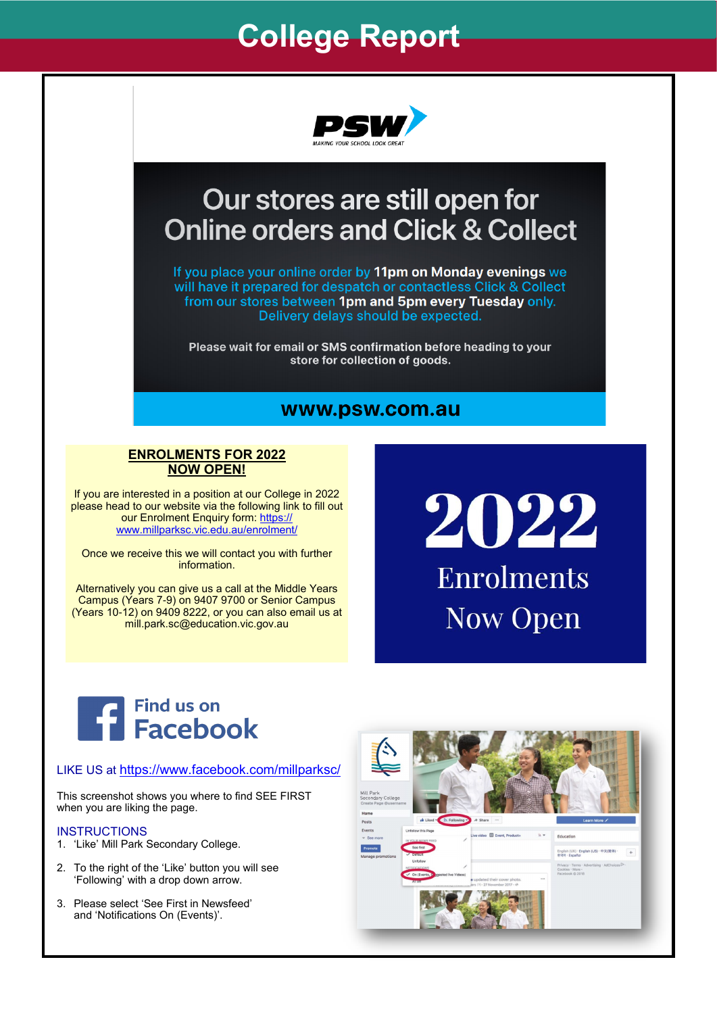## **College Report**



### Our stores are still open for **Online orders and Click & Collect**

If you place your online order by 11pm on Monday evenings we will have it prepared for despatch or contactless Click & Collect from our stores between 1pm and 5pm every Tuesday only. Delivery delays should be expected.

Please wait for email or SMS confirmation before heading to your store for collection of goods.

#### www.psw.com.au

#### **ENROLMENTS FOR 2022 NOW OPEN!**

If you are interested in a position at our College in 2022 please head to our website via the following link to fill out our Enrolment Enquiry form: [https://](https://www.millparksc.vic.edu.au/enrolment/?fbclid=IwAR0M27O13ZSrI0fPWuTqkm56km0zyxx7HNkU1Ho9NBQjw2IIci7Q2iyq5hQ) [www.millparksc.vic.edu.au/enrolment/](https://www.millparksc.vic.edu.au/enrolment/?fbclid=IwAR0M27O13ZSrI0fPWuTqkm56km0zyxx7HNkU1Ho9NBQjw2IIci7Q2iyq5hQ)

Once we receive this we will contact you with further information.

Alternatively you can give us a call at the Middle Years Campus (Years 7-9) on 9407 9700 or Senior Campus (Years 10-12) on 9409 8222, or you can also email us at mill.park.sc@education.vic.gov.au

# 2022 Enrolments **Now Open**



#### LIKE US at <https://www.facebook.com/millparksc/>

This screenshot shows you where to find SEE FIRST when you are liking the page.

#### **INSTRUCTIONS**

- 1. 'Like' Mill Park Secondary College.
- 2. To the right of the 'Like' button you will see 'Following' with a drop down arrow.
- 3. Please select 'See First in Newsfeed' and 'Notifications On (Events)'.

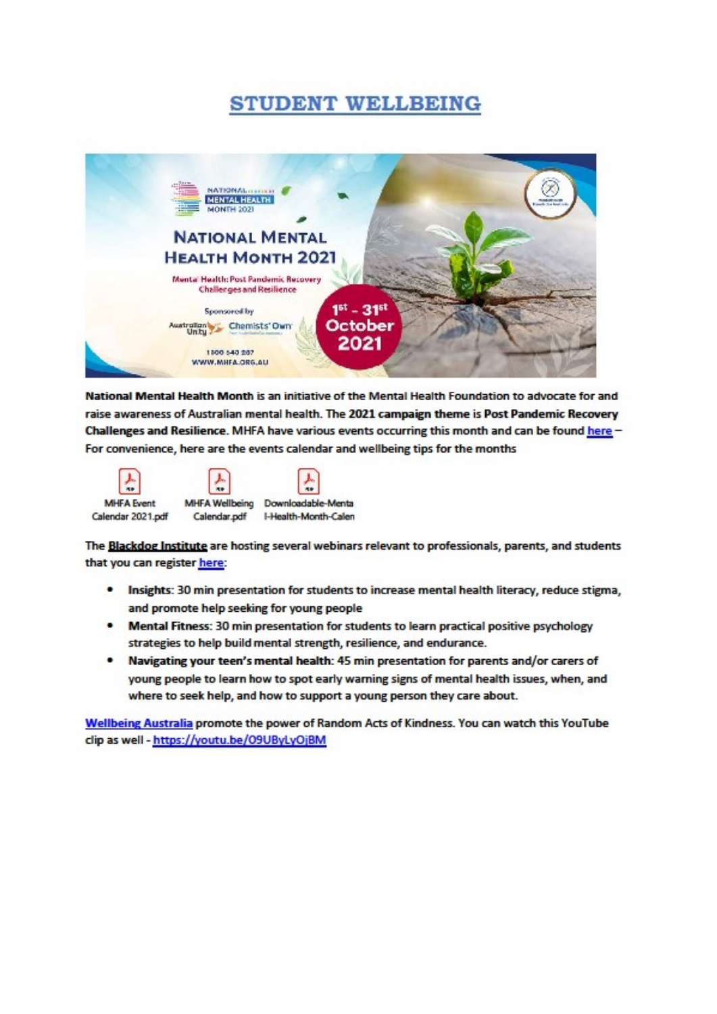### **STUDENT WELLBEING**



National Mental Health Month is an initiative of the Mental Health Foundation to advocate for and raise awareness of Australian mental health. The 2021 campaign theme is Post Pandemic Recovery Challenges and Resilience. MHFA have various events occurring this month and can be found here -For convenience, here are the events calendar and wellbeing tips for the months



The Blackdog Institute are hosting several webinars relevant to professionals, parents, and students that you can register here:

- Insights: 30 min presentation for students to increase mental health literacy, reduce stigma, and promote help seeking for young people
- Mental Fitness: 30 min presentation for students to learn practical positive psychology  $\bullet$ strategies to help build mental strength, resilience, and endurance.
- Navigating your teen's mental health: 45 min presentation for parents and/or carers of young people to learn how to spot early warning signs of mental health issues, when, and where to seek help, and how to support a young person they care about.

Wellbeing Australia promote the power of Random Acts of Kindness. You can watch this YouTube clip as well - https://youtu.be/O9UByLyOjBM